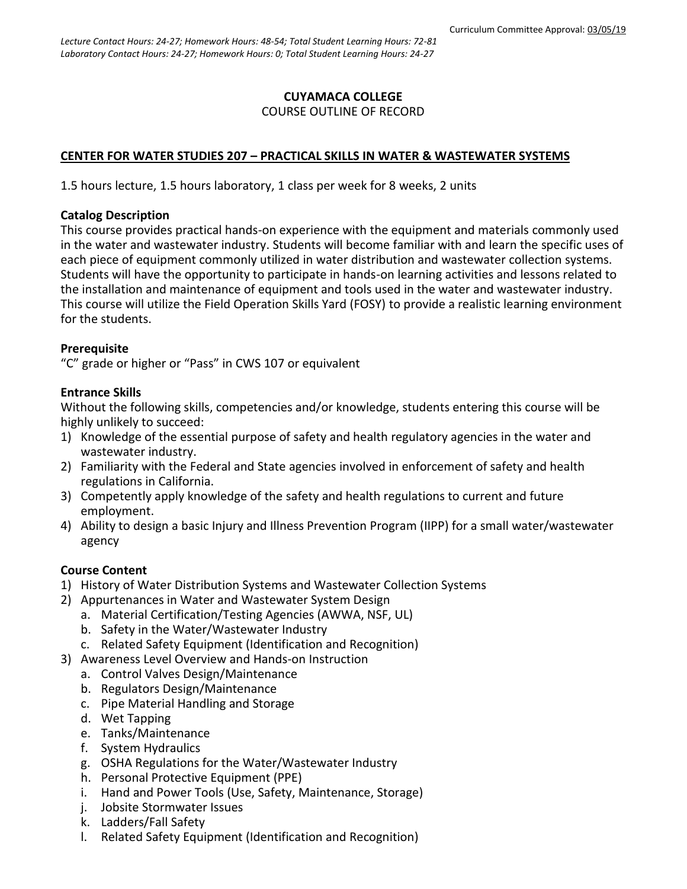## **CUYAMACA COLLEGE** COURSE OUTLINE OF RECORD

### **CENTER FOR WATER STUDIES 207 – PRACTICAL SKILLS IN WATER & WASTEWATER SYSTEMS**

1.5 hours lecture, 1.5 hours laboratory, 1 class per week for 8 weeks, 2 units

#### **Catalog Description**

This course provides practical hands-on experience with the equipment and materials commonly used in the water and wastewater industry. Students will become familiar with and learn the specific uses of each piece of equipment commonly utilized in water distribution and wastewater collection systems. Students will have the opportunity to participate in hands-on learning activities and lessons related to the installation and maintenance of equipment and tools used in the water and wastewater industry. This course will utilize the Field Operation Skills Yard (FOSY) to provide a realistic learning environment for the students.

### **Prerequisite**

"C" grade or higher or "Pass" in CWS 107 or equivalent

### **Entrance Skills**

Without the following skills, competencies and/or knowledge, students entering this course will be highly unlikely to succeed:

- 1) Knowledge of the essential purpose of safety and health regulatory agencies in the water and wastewater industry.
- 2) Familiarity with the Federal and State agencies involved in enforcement of safety and health regulations in California.
- 3) Competently apply knowledge of the safety and health regulations to current and future employment.
- 4) Ability to design a basic Injury and Illness Prevention Program (IIPP) for a small water/wastewater agency

## **Course Content**

- 1) History of Water Distribution Systems and Wastewater Collection Systems
- 2) Appurtenances in Water and Wastewater System Design
	- a. Material Certification/Testing Agencies (AWWA, NSF, UL)
	- b. Safety in the Water/Wastewater Industry
	- c. Related Safety Equipment (Identification and Recognition)
- 3) Awareness Level Overview and Hands-on Instruction
	- a. Control Valves Design/Maintenance
	- b. Regulators Design/Maintenance
	- c. Pipe Material Handling and Storage
	- d. Wet Tapping
	- e. Tanks/Maintenance
	- f. System Hydraulics
	- g. OSHA Regulations for the Water/Wastewater Industry
	- h. Personal Protective Equipment (PPE)
	- i. Hand and Power Tools (Use, Safety, Maintenance, Storage)
	- j. Jobsite Stormwater Issues
	- k. Ladders/Fall Safety
	- l. Related Safety Equipment (Identification and Recognition)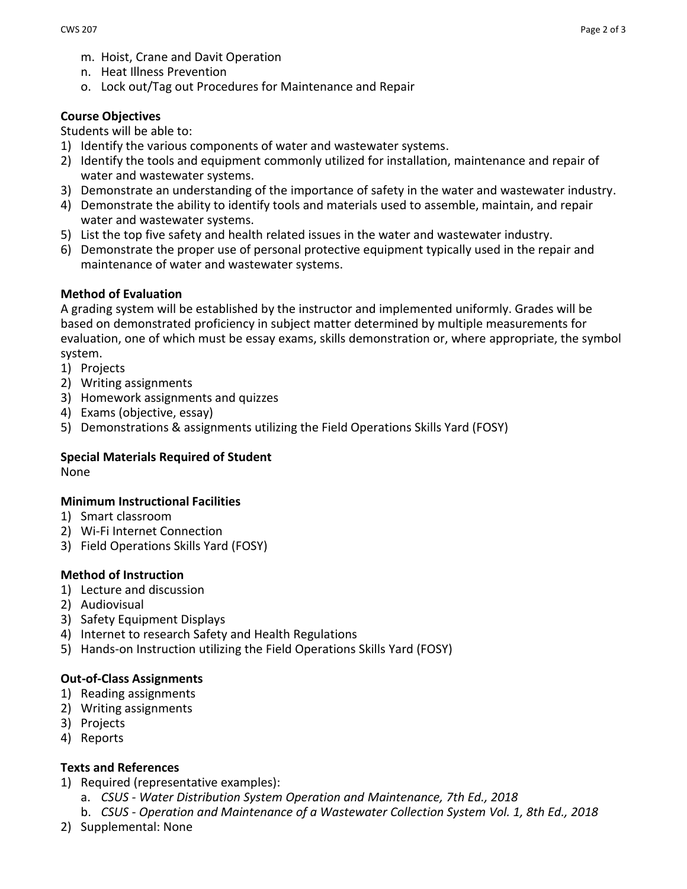- m. Hoist, Crane and Davit Operation
- n. Heat Illness Prevention
- o. Lock out/Tag out Procedures for Maintenance and Repair

## **Course Objectives**

Students will be able to:

- 1) Identify the various components of water and wastewater systems.
- 2) Identify the tools and equipment commonly utilized for installation, maintenance and repair of water and wastewater systems.
- 3) Demonstrate an understanding of the importance of safety in the water and wastewater industry.
- 4) Demonstrate the ability to identify tools and materials used to assemble, maintain, and repair water and wastewater systems.
- 5) List the top five safety and health related issues in the water and wastewater industry.
- 6) Demonstrate the proper use of personal protective equipment typically used in the repair and maintenance of water and wastewater systems.

## **Method of Evaluation**

A grading system will be established by the instructor and implemented uniformly. Grades will be based on demonstrated proficiency in subject matter determined by multiple measurements for evaluation, one of which must be essay exams, skills demonstration or, where appropriate, the symbol system.

- 1) Projects
- 2) Writing assignments
- 3) Homework assignments and quizzes
- 4) Exams (objective, essay)
- 5) Demonstrations & assignments utilizing the Field Operations Skills Yard (FOSY)

# **Special Materials Required of Student**

None

## **Minimum Instructional Facilities**

- 1) Smart classroom
- 2) Wi-Fi Internet Connection
- 3) Field Operations Skills Yard (FOSY)

## **Method of Instruction**

- 1) Lecture and discussion
- 2) Audiovisual
- 3) Safety Equipment Displays
- 4) Internet to research Safety and Health Regulations
- 5) Hands-on Instruction utilizing the Field Operations Skills Yard (FOSY)

# **Out-of-Class Assignments**

- 1) Reading assignments
- 2) Writing assignments
- 3) Projects
- 4) Reports

# **Texts and References**

- 1) Required (representative examples):
	- a. *CSUS - Water Distribution System Operation and Maintenance, 7th Ed., 2018*
	- b. *CSUS - Operation and Maintenance of a Wastewater Collection System Vol. 1, 8th Ed., 2018*
- 2) Supplemental: None